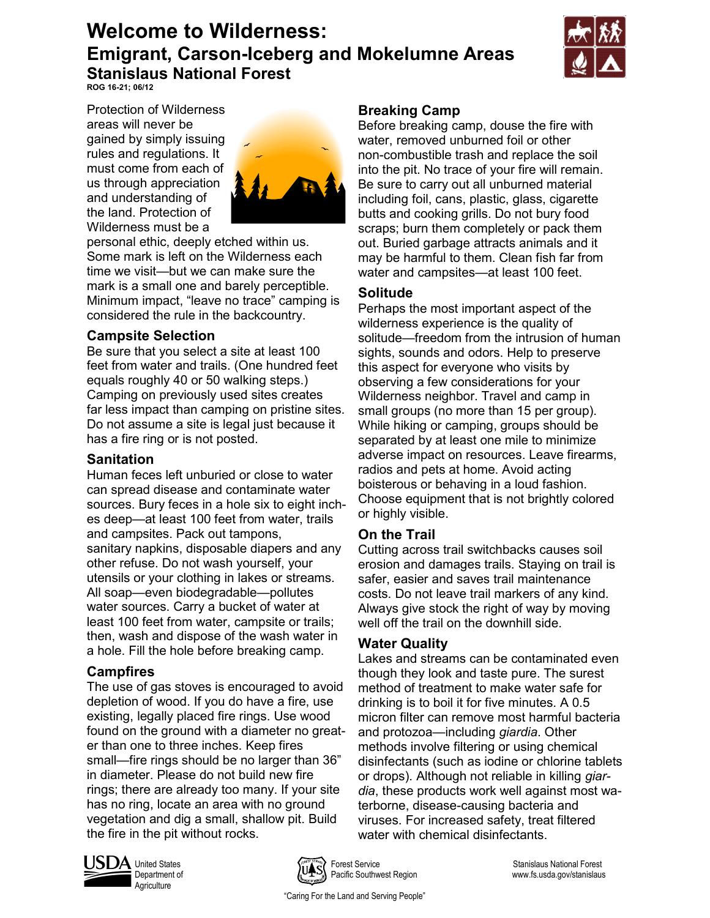# **Welcome to Wilderness: Emigrant, Carson-Iceberg and Mokelumne Areas Stanislaus National Forest**



**ROG 16-21; 06/12**

Protection of Wilderness areas will never be gained by simply issuing rules and regulations. It must come from each of us through appreciation and understanding of the land. Protection of Wilderness must be a



personal ethic, deeply etched within us. Some mark is left on the Wilderness each time we visit—but we can make sure the mark is a small one and barely perceptible. Minimum impact, "leave no trace" camping is considered the rule in the backcountry.

## **Campsite Selection**

Be sure that you select a site at least 100 feet from water and trails. (One hundred feet equals roughly 40 or 50 walking steps.) Camping on previously used sites creates far less impact than camping on pristine sites. Do not assume a site is legal just because it has a fire ring or is not posted.

## **Sanitation**

Human feces left unburied or close to water can spread disease and contaminate water sources. Bury feces in a hole six to eight inches deep—at least 100 feet from water, trails and campsites. Pack out tampons, sanitary napkins, disposable diapers and any other refuse. Do not wash yourself, your utensils or your clothing in lakes or streams. All soap—even biodegradable—pollutes water sources. Carry a bucket of water at least 100 feet from water, campsite or trails; then, wash and dispose of the wash water in a hole. Fill the hole before breaking camp.

## **Campfires**

The use of gas stoves is encouraged to avoid depletion of wood. If you do have a fire, use existing, legally placed fire rings. Use wood found on the ground with a diameter no greater than one to three inches. Keep fires small—fire rings should be no larger than 36" in diameter. Please do not build new fire rings; there are already too many. If your site has no ring, locate an area with no ground vegetation and dig a small, shallow pit. Build the fire in the pit without rocks.

## **Breaking Camp**

Before breaking camp, douse the fire with water, removed unburned foil or other non-combustible trash and replace the soil into the pit. No trace of your fire will remain. Be sure to carry out all unburned material including foil, cans, plastic, glass, cigarette butts and cooking grills. Do not bury food scraps; burn them completely or pack them out. Buried garbage attracts animals and it may be harmful to them. Clean fish far from water and campsites—at least 100 feet.

## **Solitude**

Perhaps the most important aspect of the wilderness experience is the quality of solitude—freedom from the intrusion of human sights, sounds and odors. Help to preserve this aspect for everyone who visits by observing a few considerations for your Wilderness neighbor. Travel and camp in small groups (no more than 15 per group). While hiking or camping, groups should be separated by at least one mile to minimize adverse impact on resources. Leave firearms, radios and pets at home. Avoid acting boisterous or behaving in a loud fashion. Choose equipment that is not brightly colored or highly visible.

## **On the Trail**

Cutting across trail switchbacks causes soil erosion and damages trails. Staying on trail is safer, easier and saves trail maintenance costs. Do not leave trail markers of any kind. Always give stock the right of way by moving well off the trail on the downhill side.

## **Water Quality**

Lakes and streams can be contaminated even though they look and taste pure. The surest method of treatment to make water safe for drinking is to boil it for five minutes. A 0.5 micron filter can remove most harmful bacteria and protozoa—including *giardia*. Other methods involve filtering or using chemical disinfectants (such as iodine or chlorine tablets or drops). Although not reliable in killing *giardia*, these products work well against most waterborne, disease-causing bacteria and viruses. For increased safety, treat filtered water with chemical disinfectants.